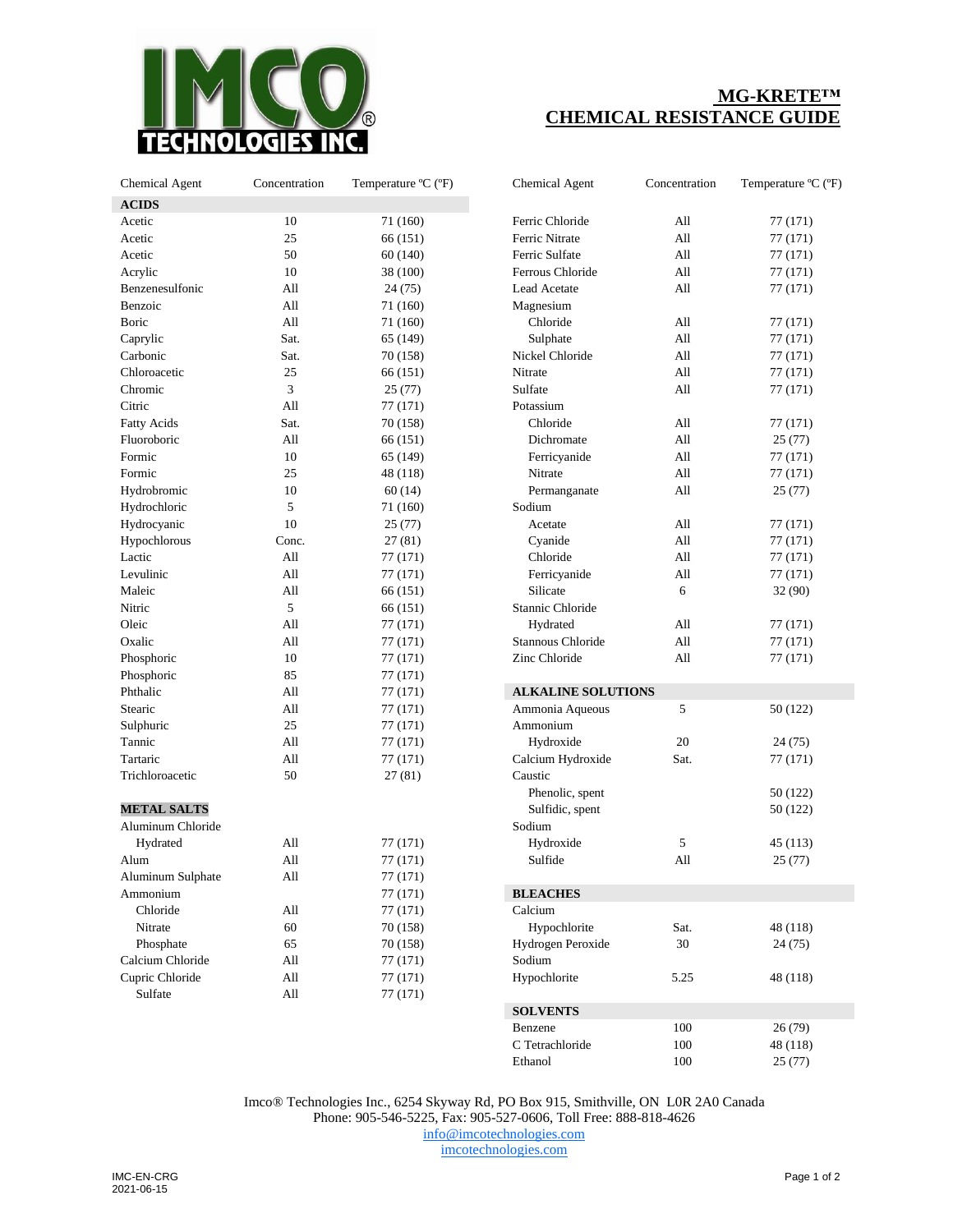

## **MG-KRETE™ CHEMICAL RESISTANCE GUIDE**

| <b>Chemical Agent</b> | Concentration | Temperature °C (°F) | <b>Chemical Agent</b>     | Concentration | Temperature <sup>o</sup> |
|-----------------------|---------------|---------------------|---------------------------|---------------|--------------------------|
| <b>ACIDS</b>          |               |                     |                           |               |                          |
| Acetic                | 10            | 71 (160)            | Ferric Chloride           | All           | 77 (171)                 |
| Acetic                | 25            | 66 (151)            | Ferric Nitrate            | All           | 77 (171)                 |
| Acetic                | 50            | 60 (140)            | Ferric Sulfate            | All           | 77 (171)                 |
| Acrylic               | 10            | 38 (100)            | Ferrous Chloride          | All           | 77 (171)                 |
| Benzenesulfonic       | All           | 24 (75)             | Lead Acetate              | All           | 77 (171)                 |
| Benzoic               | All           | 71 (160)            | Magnesium                 |               |                          |
| Boric                 | All           | 71 (160)            | Chloride                  | All           | 77 (171)                 |
| Caprylic              | Sat.          | 65 (149)            | Sulphate                  | All           | 77 (171)                 |
| Carbonic              | Sat.          | 70 (158)            | Nickel Chloride           | All           | 77 (171)                 |
| Chloroacetic          | 25            | 66 (151)            | Nitrate                   | All           | 77 (171)                 |
| Chromic               | 3             | 25(77)              | Sulfate                   | All           | 77 (171)                 |
| Citric                | All           | 77 (171)            | Potassium                 |               |                          |
| <b>Fatty Acids</b>    | Sat.          | 70 (158)            | Chloride                  | All           | 77 (171)                 |
| Fluoroboric           | All           | 66 (151)            | Dichromate                | All           | 25(77)                   |
| Formic                | 10            | 65 (149)            | Ferricyanide              | All           | 77 (171)                 |
| Formic                | 25            | 48 (118)            | Nitrate                   | All           | 77 (171)                 |
| Hydrobromic           | 10            | 60(14)              | Permanganate              | All           | 25(77)                   |
| Hydrochloric          | 5             | 71 (160)            | Sodium                    |               |                          |
| Hydrocyanic           | 10            | 25(77)              | Acetate                   | All           | 77 (171)                 |
| Hypochlorous          | Conc.         | 27 (81)             | Cyanide                   | All           | 77 (171)                 |
| Lactic                | All           | 77 (171)            | Chloride                  | All           | 77 (171)                 |
| Levulinic             | All           | 77 (171)            | Ferricyanide              | All           | 77 (171)                 |
| Maleic                | All           | 66 (151)            | Silicate                  | 6             | 32(90)                   |
| Nitric                | 5             | 66 (151)            | Stannic Chloride          |               |                          |
| Oleic                 | All           | 77 (171)            | Hydrated                  | All           | 77 (171)                 |
| Oxalic                | All           | 77 (171)            | Stannous Chloride         | All           | 77 (171)                 |
| Phosphoric            | 10            | 77 (171)            | Zinc Chloride             | All           | 77 (171)                 |
| Phosphoric            | 85            | 77 (171)            |                           |               |                          |
| Phthalic              | All           | 77 (171)            | <b>ALKALINE SOLUTIONS</b> |               |                          |
| Stearic               | All           | 77 (171)            | Ammonia Aqueous           | 5             | 50 (122)                 |
| Sulphuric             | 25            |                     | Ammonium                  |               |                          |
| Tannic                | All           | 77 (171)            |                           | 20            |                          |
|                       |               | 77 (171)            | Hydroxide                 |               | 24 (75)                  |
| Tartaric              | All           | 77 (171)            | Calcium Hydroxide         | Sat.          | 77 (171)                 |
| Trichloroacetic       | 50            | 27(81)              | Caustic                   |               |                          |
|                       |               |                     | Phenolic, spent           |               | 50 (122)                 |
| <b>METAL SALTS</b>    |               |                     | Sulfidic, spent           |               | 50 (122)                 |
| Aluminum Chloride     |               |                     | Sodium                    |               |                          |
| Hydrated              | All           | 77 (171)            | Hydroxide                 | 5             | 45 (113)                 |
| Alum                  | All           | 77 (171)            | Sulfide                   | All           | 25(77)                   |
| Aluminum Sulphate     | All           | 77 (171)            |                           |               |                          |
| Ammonium              |               | 77 (171)            | <b>BLEACHES</b>           |               |                          |
| Chloride              | All           | 77 (171)            | Calcium                   |               |                          |
| Nitrate               | 60            | 70 (158)            | Hypochlorite              | Sat.          | 48 (118)                 |
| Phosphate             | 65            | 70 (158)            | Hydrogen Peroxide         | 30            | 24 (75)                  |
| Calcium Chloride      | All           | 77 (171)            | Sodium                    |               |                          |
| Cupric Chloride       | All           | 77 (171)            | Hypochlorite              | 5.25          | 48 (118)                 |
| Sulfate               | All           | 77 (171)            |                           |               |                          |
|                       |               |                     | $COT$ venimo              |               |                          |

| <b>Chemical Agent</b>     | Concentration | Temperature °C (°F) |  |
|---------------------------|---------------|---------------------|--|
| Ferric Chloride           | A11           | 77 (171)            |  |
| Ferric Nitrate            | A11           | 77 (171)            |  |
| Ferric Sulfate            | A11           | 77 (171)            |  |
| Ferrous Chloride          | All           | 77 (171)            |  |
| <b>Lead Acetate</b>       | All           | 77 (171)            |  |
| Magnesium                 |               |                     |  |
| Chloride                  | All           | 77 (171)            |  |
| Sulphate                  | All           | 77 (171)            |  |
| Nickel Chloride           | All           | 77 (171)            |  |
| Nitrate                   | All           | 77 (171)            |  |
| Sulfate                   | All           | 77 (171)            |  |
| Potassium                 |               |                     |  |
| Chloride                  | All           | 77 (171)            |  |
| Dichromate                | All           | 25(77)              |  |
| Ferricyanide              | All           | 77 (171)            |  |
| Nitrate                   | All           | 77 (171)            |  |
| Permanganate              | All           | 25(77)              |  |
| Sodium                    |               |                     |  |
| Acetate                   | All           | 77 (171)            |  |
| Cyanide                   | All           | 77 (171)            |  |
| Chloride                  | A11           | 77 (171)            |  |
| Ferricyanide              | All           | 77 (171)            |  |
| Silicate                  | 6             | 32 (90)             |  |
| Stannic Chloride          |               |                     |  |
| Hydrated                  | A11           | 77 (171)            |  |
| Stannous Chloride         | A11           | 77 (171)            |  |
| Zinc Chloride             | All           | 77 (171)            |  |
|                           |               |                     |  |
| <b>ALKALINE SOLUTIONS</b> |               |                     |  |
| Ammonia Aqueous           | 5             | 50 (122)            |  |
| Ammonium                  |               |                     |  |
| Hydroxide                 | 20            | 24 (75)             |  |
| Calcium Hydroxide         | Sat.          | 77 (171)            |  |
| Caustic                   |               |                     |  |
| Phenolic, spent           |               | 50 (122)            |  |
| Sulfidic, spent           |               | 50 (122)            |  |
| Sodium                    |               |                     |  |
| Hydroxide                 | 5             | 45 (113)            |  |
| Sulfide                   | All           | 25(77)              |  |
| <b>BLEACHES</b>           |               |                     |  |
| Calcium                   |               |                     |  |
| Hypochlorite              | Sat.          | 48 (118)            |  |
| Hydrogen Peroxide         | 30            | 24 (75)             |  |
| Sodium                    |               |                     |  |
| Hypochlorite              | 5.25          | 48 (118)            |  |
| <b>SOLVENTS</b>           |               |                     |  |
| Benzene                   | 100           | 26 (79)             |  |
| C Tetrachloride           | 100           | 48 (118)            |  |
| Ethanol                   | 100           | 25(77)              |  |
|                           |               |                     |  |

Imco® Technologies Inc., 6254 Skyway Rd, PO Box 915, Smithville, ON L0R 2A0 Canada Phone: 905-546-5225, Fax: 905-527-0606, Toll Free: 888-818-4626 [info@imcotechnologies.com](mailto:info@imcotechnologies.com) [imcotechnologies.com](https://imcotechnologies.com/)